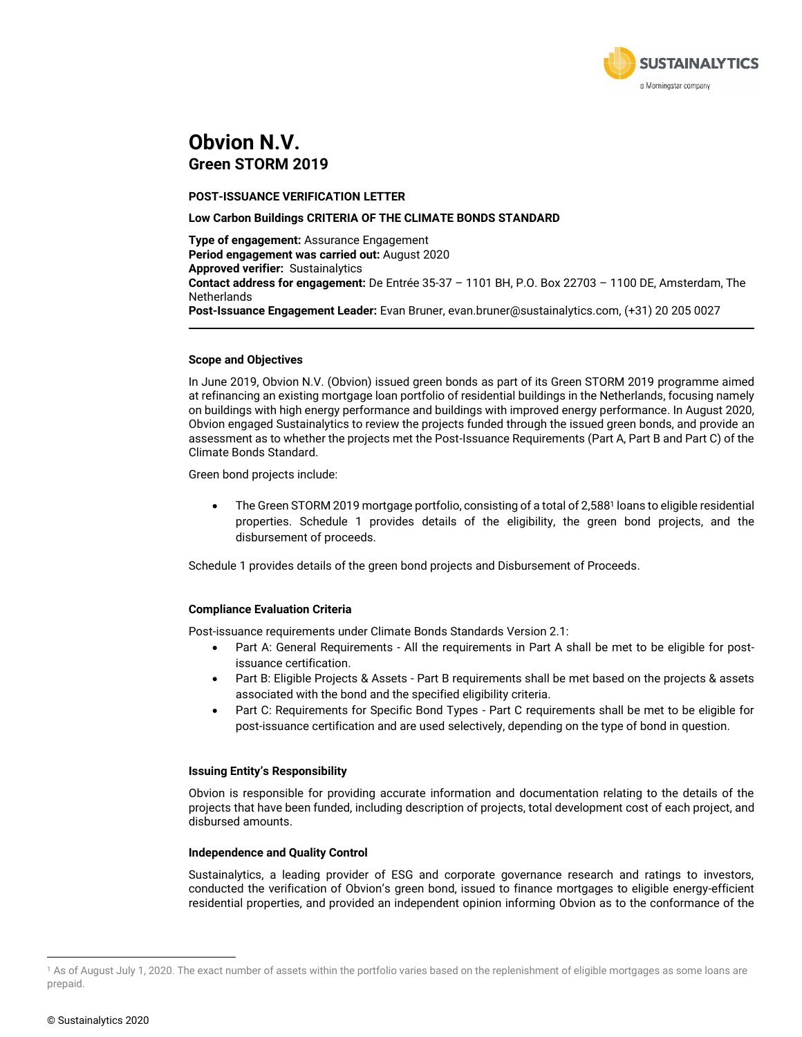

## **Obvion N.V. Green STORM 2019**

**POST-ISSUANCE VERIFICATION LETTER**

#### **Low Carbon Buildings CRITERIA OF THE CLIMATE BONDS STANDARD**

**Type of engagement:** Assurance Engagement **Period engagement was carried out:** August 2020 **Approved verifier:** Sustainalytics **Contact address for engagement:** De Entrée 35-37 – 1101 BH, P.O. Box 22703 – 1100 DE, Amsterdam, The **Netherlands Post-Issuance Engagement Leader:** Evan Bruner, evan.bruner@sustainalytics.com, (+31) 20 205 0027

#### **Scope and Objectives**

In June 2019, Obvion N.V. (Obvion) issued green bonds as part of its Green STORM 2019 programme aimed at refinancing an existing mortgage loan portfolio of residential buildings in the Netherlands, focusing namely on buildings with high energy performance and buildings with improved energy performance. In August 2020, Obvion engaged Sustainalytics to review the projects funded through the issued green bonds, and provide an assessment as to whether the projects met the Post-Issuance Requirements (Part A, Part B and Part C) of the Climate Bonds Standard.

Green bond projects include:

• The Green STORM 2019 mortgage portfolio, consisting of a total of 2,588<sup>1</sup> loans to eligible residential properties. Schedule 1 provides details of the eligibility, the green bond projects, and the disbursement of proceeds.

Schedule 1 provides details of the green bond projects and Disbursement of Proceeds.

## **Compliance Evaluation Criteria**

Post-issuance requirements under Climate Bonds Standards Version 2.1:

- Part A: General Requirements All the requirements in Part A shall be met to be eligible for postissuance certification.
- Part B: Eligible Projects & Assets Part B requirements shall be met based on the projects & assets associated with the bond and the specified eligibility criteria.
- Part C: Requirements for Specific Bond Types Part C requirements shall be met to be eligible for post-issuance certification and are used selectively, depending on the type of bond in question.

## **Issuing Entity's Responsibility**

Obvion is responsible for providing accurate information and documentation relating to the details of the projects that have been funded, including description of projects, total development cost of each project, and disbursed amounts.

#### **Independence and Quality Control**

Sustainalytics, a leading provider of ESG and corporate governance research and ratings to investors, conducted the verification of Obvion's green bond, issued to finance mortgages to eligible energy-efficient residential properties, and provided an independent opinion informing Obvion as to the conformance of the

<sup>&</sup>lt;sup>1</sup> As of August July 1, 2020. The exact number of assets within the portfolio varies based on the replenishment of eligible mortgages as some loans are prepaid.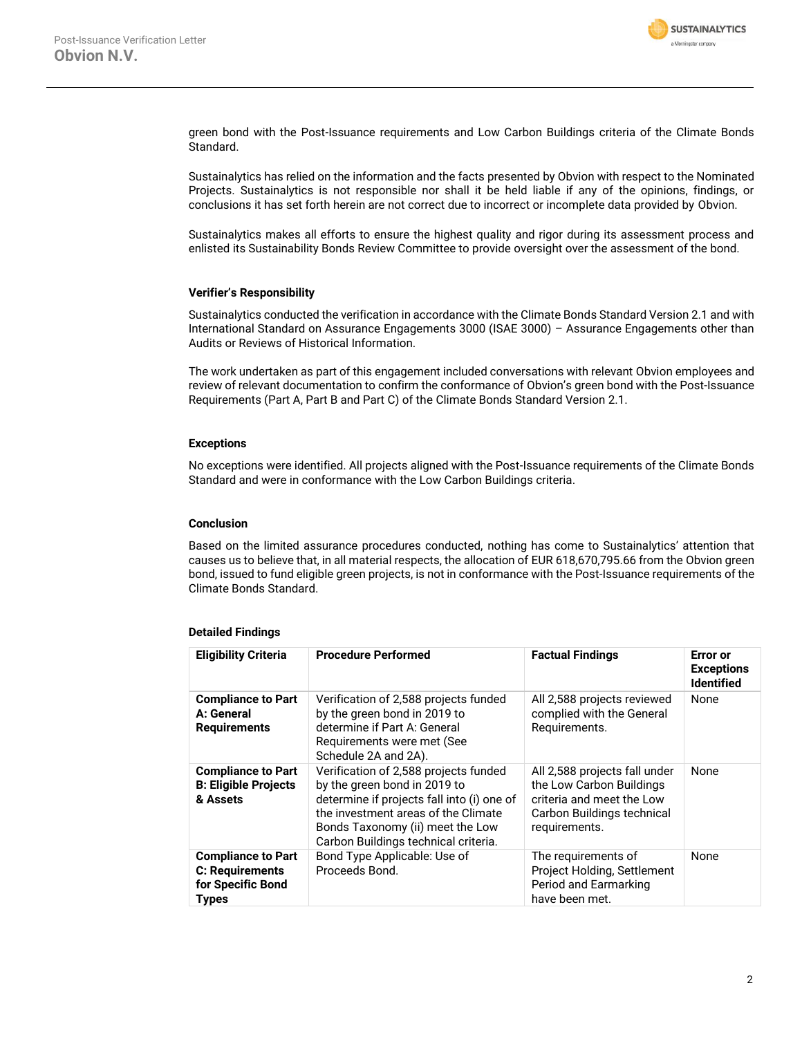

green bond with the Post-Issuance requirements and Low Carbon Buildings criteria of the Climate Bonds Standard.

Sustainalytics has relied on the information and the facts presented by Obvion with respect to the Nominated Projects. Sustainalytics is not responsible nor shall it be held liable if any of the opinions, findings, or conclusions it has set forth herein are not correct due to incorrect or incomplete data provided by Obvion.

Sustainalytics makes all efforts to ensure the highest quality and rigor during its assessment process and enlisted its Sustainability Bonds Review Committee to provide oversight over the assessment of the bond.

#### **Verifier's Responsibility**

Sustainalytics conducted the verification in accordance with the Climate Bonds Standard Version 2.1 and with International Standard on Assurance Engagements 3000 (ISAE 3000) – Assurance Engagements other than Audits or Reviews of Historical Information.

The work undertaken as part of this engagement included conversations with relevant Obvion employees and review of relevant documentation to confirm the conformance of Obvion's green bond with the Post-Issuance Requirements (Part A, Part B and Part C) of the Climate Bonds Standard Version 2.1.

#### **Exceptions**

No exceptions were identified. All projects aligned with the Post-Issuance requirements of the Climate Bonds Standard and were in conformance with the Low Carbon Buildings criteria.

#### **Conclusion**

Based on the limited assurance procedures conducted, nothing has come to Sustainalytics' attention that causes us to believe that, in all material respects, the allocation of EUR 618,670,795.66 from the Obvion green bond, issued to fund eligible green projects, is not in conformance with the Post-Issuance requirements of the Climate Bonds Standard.

## **Detailed Findings**

| <b>Eligibility Criteria</b>                                                              | <b>Procedure Performed</b>                                                                                                                                                                                                             | <b>Factual Findings</b>                                                                                                               | <b>Error</b> or<br><b>Exceptions</b><br><b>Identified</b> |
|------------------------------------------------------------------------------------------|----------------------------------------------------------------------------------------------------------------------------------------------------------------------------------------------------------------------------------------|---------------------------------------------------------------------------------------------------------------------------------------|-----------------------------------------------------------|
| <b>Compliance to Part</b><br>A: General<br><b>Requirements</b>                           | Verification of 2,588 projects funded<br>by the green bond in 2019 to<br>determine if Part A: General<br>Requirements were met (See<br>Schedule 2A and 2A).                                                                            | All 2,588 projects reviewed<br>complied with the General<br>Requirements.                                                             | None                                                      |
| <b>Compliance to Part</b><br><b>B: Eligible Projects</b><br>& Assets                     | Verification of 2,588 projects funded<br>by the green bond in 2019 to<br>determine if projects fall into (i) one of<br>the investment areas of the Climate<br>Bonds Taxonomy (ii) meet the Low<br>Carbon Buildings technical criteria. | All 2,588 projects fall under<br>the Low Carbon Buildings<br>criteria and meet the Low<br>Carbon Buildings technical<br>requirements. | None                                                      |
| <b>Compliance to Part</b><br><b>C: Requirements</b><br>for Specific Bond<br><b>Types</b> | Bond Type Applicable: Use of<br>Proceeds Bond.                                                                                                                                                                                         | The requirements of<br>Project Holding, Settlement<br>Period and Earmarking<br>have been met.                                         | None                                                      |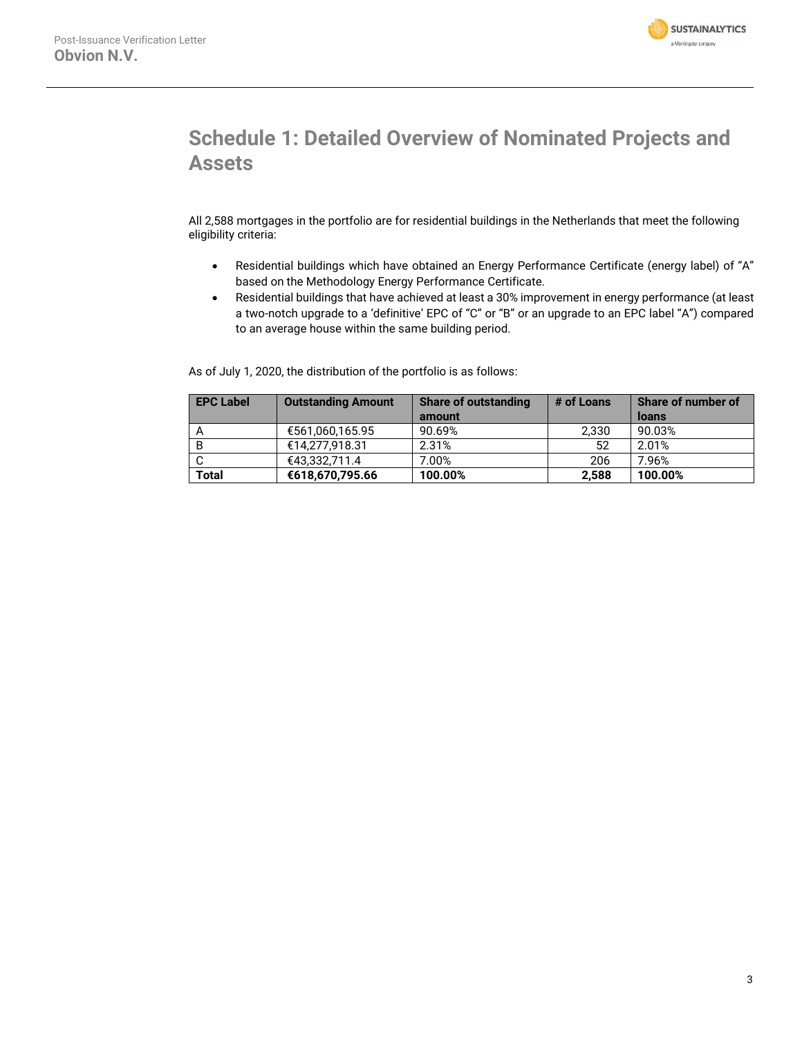

# **Schedule 1: Detailed Overview of Nominated Projects and Assets**

All 2,588 mortgages in the portfolio are for residential buildings in the Netherlands that meet the following eligibility criteria:

- Residential buildings which have obtained an Energy Performance Certificate (energy label) of "A" based on the Methodology Energy Performance Certificate.
- Residential buildings that have achieved at least a 30% improvement in energy performance (at least a two-notch upgrade to a 'definitive' EPC of "C" or "B" or an upgrade to an EPC label "A") compared to an average house within the same building period.

As of July 1, 2020, the distribution of the portfolio is as follows:

| <b>EPC Label</b> | <b>Outstanding Amount</b> | <b>Share of outstanding</b> | # of Loans | <b>Share of number of</b> |
|------------------|---------------------------|-----------------------------|------------|---------------------------|
|                  |                           | amount                      |            | loans                     |
|                  | €561,060,165.95           | 90.69%                      | 2,330      | 90.03%                    |
| B                | €14.277.918.31            | 2.31%                       | 52         | 2.01%                     |
|                  | €43.332.711.4             | 7.00%                       | 206        | 7.96%                     |
| <b>Total</b>     | €618,670,795.66           | 100.00%                     | 2.588      | 100.00%                   |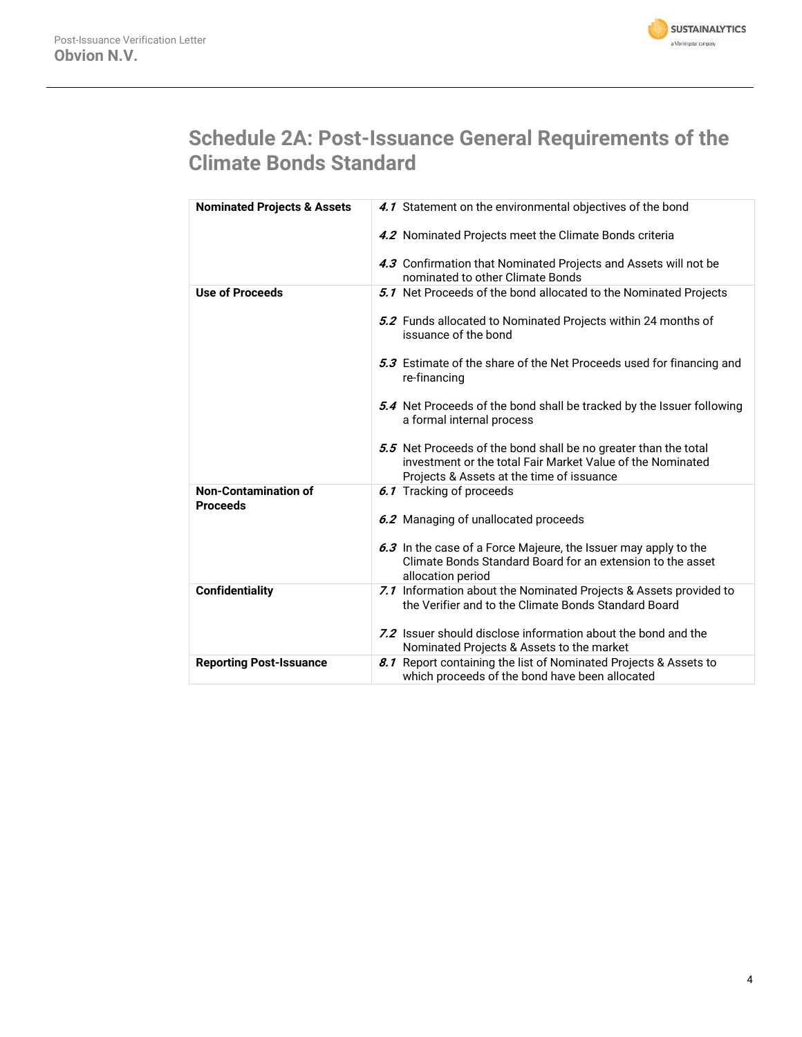

# **Schedule 2A: Post-Issuance General Requirements of the Climate Bonds Standard**

| <b>Nominated Projects &amp; Assets</b>         | 4.1 Statement on the environmental objectives of the bond                                                                                                                  |
|------------------------------------------------|----------------------------------------------------------------------------------------------------------------------------------------------------------------------------|
|                                                | 4.2 Nominated Projects meet the Climate Bonds criteria                                                                                                                     |
|                                                | 4.3 Confirmation that Nominated Projects and Assets will not be<br>nominated to other Climate Bonds                                                                        |
| <b>Use of Proceeds</b>                         | 5.1 Net Proceeds of the bond allocated to the Nominated Projects                                                                                                           |
|                                                | 5.2 Funds allocated to Nominated Projects within 24 months of<br>issuance of the bond                                                                                      |
|                                                | 5.3 Estimate of the share of the Net Proceeds used for financing and<br>re-financing                                                                                       |
|                                                | 5.4 Net Proceeds of the bond shall be tracked by the Issuer following<br>a formal internal process                                                                         |
|                                                | 5.5 Net Proceeds of the bond shall be no greater than the total<br>investment or the total Fair Market Value of the Nominated<br>Projects & Assets at the time of issuance |
| <b>Non-Contamination of</b><br><b>Proceeds</b> | 6.1 Tracking of proceeds                                                                                                                                                   |
|                                                | 6.2 Managing of unallocated proceeds                                                                                                                                       |
|                                                | 6.3 In the case of a Force Majeure, the Issuer may apply to the<br>Climate Bonds Standard Board for an extension to the asset<br>allocation period                         |
| <b>Confidentiality</b>                         | 7.1 Information about the Nominated Projects & Assets provided to<br>the Verifier and to the Climate Bonds Standard Board                                                  |
|                                                | 7.2 Issuer should disclose information about the bond and the<br>Nominated Projects & Assets to the market                                                                 |
| <b>Reporting Post-Issuance</b>                 | 8.1 Report containing the list of Nominated Projects & Assets to<br>which proceeds of the bond have been allocated                                                         |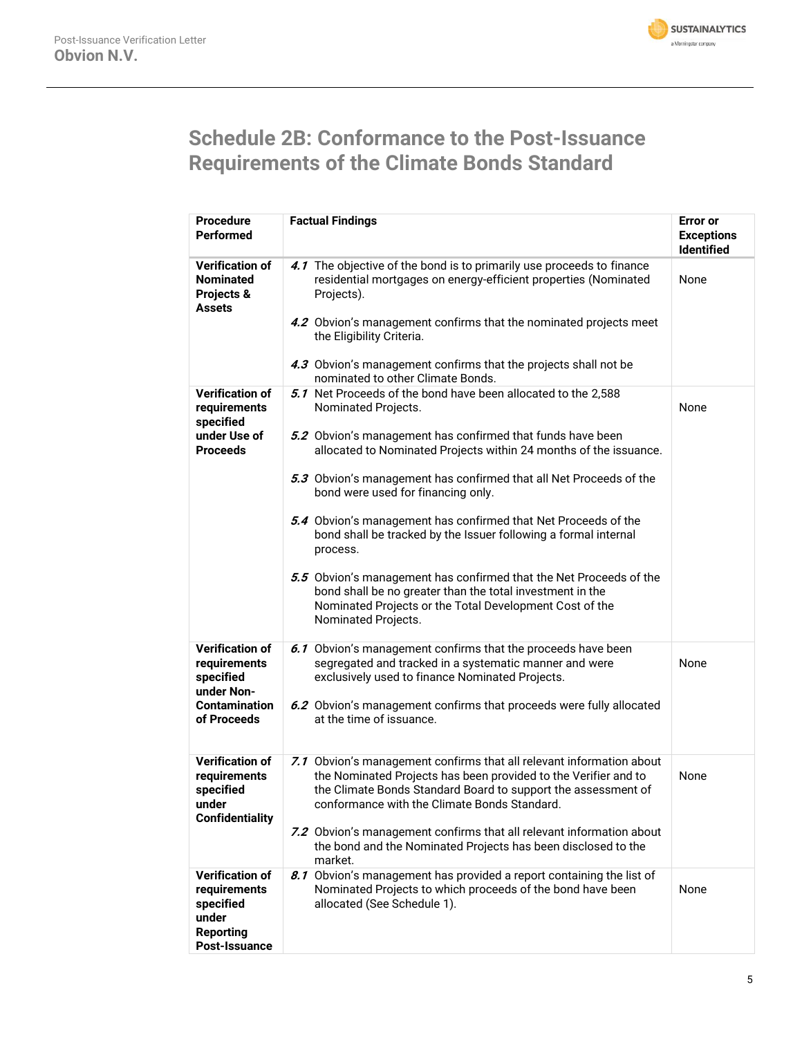

# **Schedule 2B: Conformance to the Post-Issuance Requirements of the Climate Bonds Standard**

| <b>Procedure</b>                                                                                         | <b>Factual Findings</b>                                                                                                                                                                                                                                                                                                                                                                                                                                                                                                                                                                                                                                                            | <b>Error</b> or                        |
|----------------------------------------------------------------------------------------------------------|------------------------------------------------------------------------------------------------------------------------------------------------------------------------------------------------------------------------------------------------------------------------------------------------------------------------------------------------------------------------------------------------------------------------------------------------------------------------------------------------------------------------------------------------------------------------------------------------------------------------------------------------------------------------------------|----------------------------------------|
| <b>Performed</b>                                                                                         |                                                                                                                                                                                                                                                                                                                                                                                                                                                                                                                                                                                                                                                                                    | <b>Exceptions</b><br><b>Identified</b> |
| <b>Verification of</b><br><b>Nominated</b><br>Projects &<br>Assets                                       | 4.1 The objective of the bond is to primarily use proceeds to finance<br>residential mortgages on energy-efficient properties (Nominated<br>Projects).<br>4.2 Obvion's management confirms that the nominated projects meet<br>the Eligibility Criteria.<br>4.3 Obvion's management confirms that the projects shall not be                                                                                                                                                                                                                                                                                                                                                        | None                                   |
|                                                                                                          | nominated to other Climate Bonds.                                                                                                                                                                                                                                                                                                                                                                                                                                                                                                                                                                                                                                                  |                                        |
| <b>Verification of</b><br>requirements<br>specified<br>under Use of<br><b>Proceeds</b>                   | 5.1 Net Proceeds of the bond have been allocated to the 2,588<br>Nominated Projects.<br>5.2 Obvion's management has confirmed that funds have been<br>allocated to Nominated Projects within 24 months of the issuance.<br>5.3 Obvion's management has confirmed that all Net Proceeds of the<br>bond were used for financing only.<br>5.4 Obvion's management has confirmed that Net Proceeds of the<br>bond shall be tracked by the Issuer following a formal internal<br>process.<br>5.5 Obvion's management has confirmed that the Net Proceeds of the<br>bond shall be no greater than the total investment in the<br>Nominated Projects or the Total Development Cost of the | None                                   |
|                                                                                                          | Nominated Projects.                                                                                                                                                                                                                                                                                                                                                                                                                                                                                                                                                                                                                                                                |                                        |
| <b>Verification of</b><br>requirements<br>specified<br>under Non-<br><b>Contamination</b><br>of Proceeds | 6.1 Obvion's management confirms that the proceeds have been<br>segregated and tracked in a systematic manner and were<br>exclusively used to finance Nominated Projects.<br>6.2 Obvion's management confirms that proceeds were fully allocated<br>at the time of issuance.                                                                                                                                                                                                                                                                                                                                                                                                       | None                                   |
| <b>Verification of</b><br>requirements<br>specified<br>under<br><b>Confidentiality</b>                   | 7.1 Obvion's management confirms that all relevant information about<br>the Nominated Projects has been provided to the Verifier and to<br>the Climate Bonds Standard Board to support the assessment of<br>conformance with the Climate Bonds Standard.<br>7.2 Obvion's management confirms that all relevant information about<br>the bond and the Nominated Projects has been disclosed to the<br>market.                                                                                                                                                                                                                                                                       | None                                   |
| <b>Verification of</b><br>requirements<br>specified<br>under<br><b>Reporting</b><br>Post-Issuance        | 8.1 Obvion's management has provided a report containing the list of<br>Nominated Projects to which proceeds of the bond have been<br>allocated (See Schedule 1).                                                                                                                                                                                                                                                                                                                                                                                                                                                                                                                  | None                                   |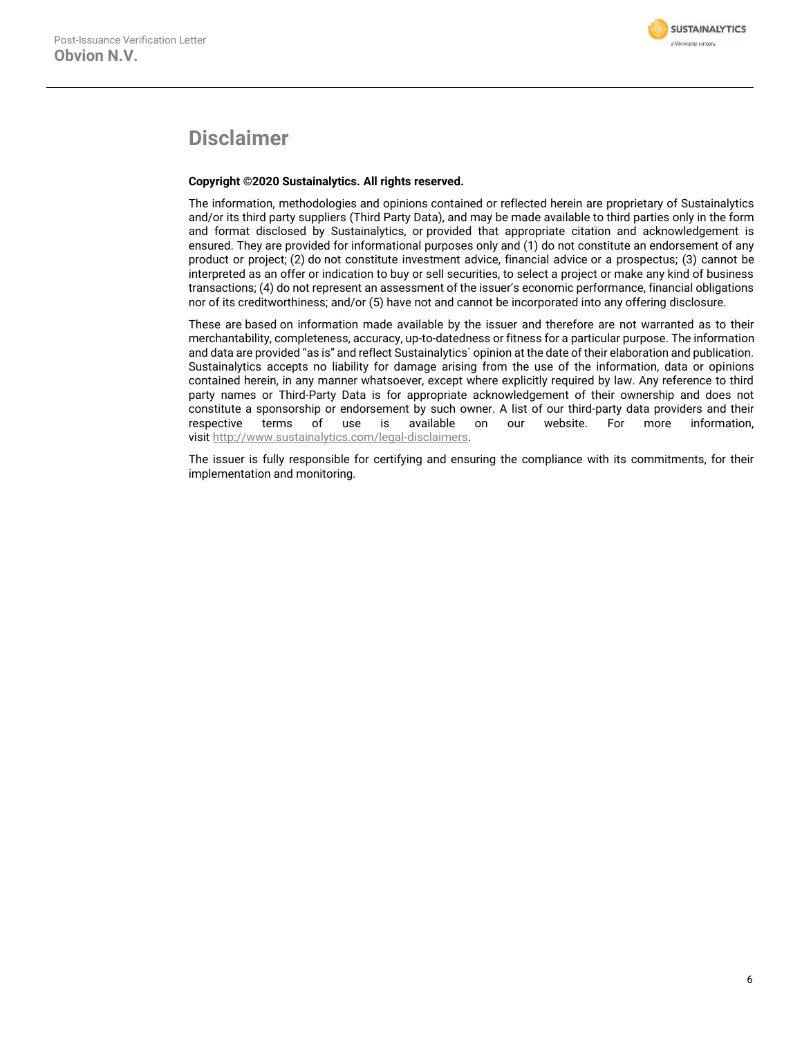# **Disclaimer**

## **Copyright ©2020 Sustainalytics. All rights reserved.**

The information, methodologies and opinions contained or reflected herein are proprietary of Sustainalytics and/or its third party suppliers (Third Party Data), and may be made available to third parties only in the form and format disclosed by Sustainalytics, or provided that appropriate citation and acknowledgement is ensured. They are provided for informational purposes only and (1) do not constitute an endorsement of any product or project; (2) do not constitute investment advice, financial advice or a prospectus; (3) cannot be interpreted as an offer or indication to buy or sell securities, to select a project or make any kind of business transactions; (4) do not represent an assessment of the issuer's economic performance, financial obligations nor of its creditworthiness; and/or (5) have not and cannot be incorporated into any offering disclosure.

These are based on information made available by the issuer and therefore are not warranted as to their merchantability, completeness, accuracy, up-to-datedness or fitness for a particular purpose. The information and data are provided "as is" and reflect Sustainalytics` opinion at the date of their elaboration and publication. Sustainalytics accepts no liability for damage arising from the use of the information, data or opinions contained herein, in any manner whatsoever, except where explicitly required by law. Any reference to third party names or Third-Party Data is for appropriate acknowledgement of their ownership and does not constitute a sponsorship or endorsement by such owner. A list of our third-party data providers and their respective terms of use is available on our website. For more information, visit [http://www.sustainalytics.com/legal-disclaimers.](http://www.sustainalytics.com/legal-disclaimers)

The issuer is fully responsible for certifying and ensuring the compliance with its commitments, for their implementation and monitoring.